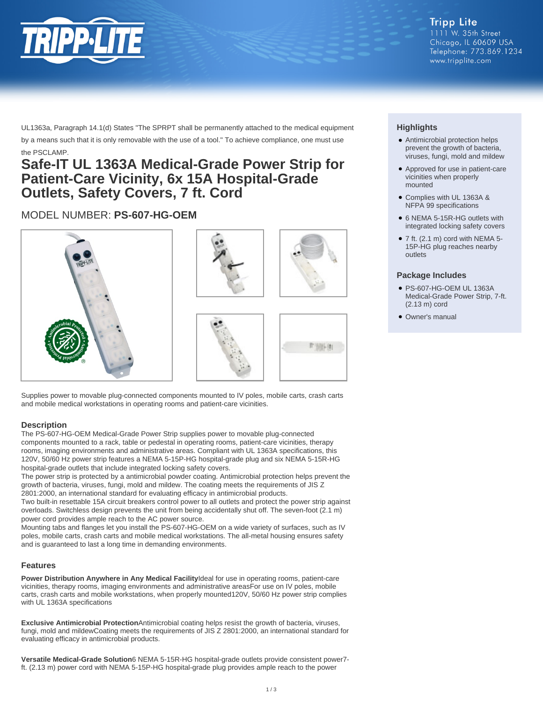

**Tripp Lite** 1111 W. 35th Street Chicago, IL 60609 USA Telephone: 773.869.1234 www.tripplite.com

UL1363a, Paragraph 14.1(d) States "The SPRPT shall be permanently attached to the medical equipment by a means such that it is only removable with the use of a tool." To achieve compliance, one must use the PSCLAMP.

## **Safe-IT UL 1363A Medical-Grade Power Strip for Patient-Care Vicinity, 6x 15A Hospital-Grade Outlets, Safety Covers, 7 ft. Cord**

### MODEL NUMBER: **PS-607-HG-OEM**









Supplies power to movable plug-connected components mounted to IV poles, mobile carts, crash carts and mobile medical workstations in operating rooms and patient-care vicinities.

#### **Description**

The PS-607-HG-OEM Medical-Grade Power Strip supplies power to movable plug-connected components mounted to a rack, table or pedestal in operating rooms, patient-care vicinities, therapy rooms, imaging environments and administrative areas. Compliant with UL 1363A specifications, this 120V, 50/60 Hz power strip features a NEMA 5-15P-HG hospital-grade plug and six NEMA 5-15R-HG hospital-grade outlets that include integrated locking safety covers.

The power strip is protected by a antimicrobial powder coating. Antimicrobial protection helps prevent the growth of bacteria, viruses, fungi, mold and mildew. The coating meets the requirements of JIS Z 2801:2000, an international standard for evaluating efficacy in antimicrobial products.

Two built-in resettable 15A circuit breakers control power to all outlets and protect the power strip against overloads. Switchless design prevents the unit from being accidentally shut off. The seven-foot (2.1 m) power cord provides ample reach to the AC power source.

Mounting tabs and flanges let you install the PS-607-HG-OEM on a wide variety of surfaces, such as IV poles, mobile carts, crash carts and mobile medical workstations. The all-metal housing ensures safety and is guaranteed to last a long time in demanding environments.

#### **Features**

**Power Distribution Anywhere in Any Medical Facility**Ideal for use in operating rooms, patient-care vicinities, therapy rooms, imaging environments and administrative areasFor use on IV poles, mobile carts, crash carts and mobile workstations, when properly mounted120V, 50/60 Hz power strip complies with UL 1363A specifications

**Exclusive Antimicrobial Protection**Antimicrobial coating helps resist the growth of bacteria, viruses, fungi, mold and mildewCoating meets the requirements of JIS Z 2801:2000, an international standard for evaluating efficacy in antimicrobial products.

**Versatile Medical-Grade Solution**6 NEMA 5-15R-HG hospital-grade outlets provide consistent power7 ft. (2.13 m) power cord with NEMA 5-15P-HG hospital-grade plug provides ample reach to the power

#### **Highlights**

- Antimicrobial protection helps prevent the growth of bacteria, viruses, fungi, mold and mildew
- Approved for use in patient-care vicinities when properly mounted
- Complies with UL 1363A & NFPA 99 specifications
- 6 NEMA 5-15R-HG outlets with integrated locking safety covers
- $\bullet$  7 ft. (2.1 m) cord with NEMA 5-15P-HG plug reaches nearby outlets

#### **Package Includes**

- PS-607-HG-OEM UL 1363A Medical-Grade Power Strip, 7-ft. (2.13 m) cord
- Owner's manual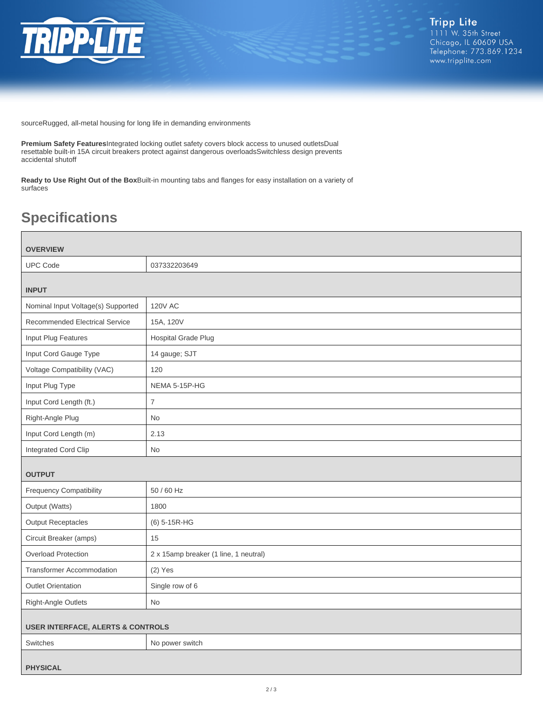

sourceRugged, all-metal housing for long life in demanding environments

**Premium Safety Features**Integrated locking outlet safety covers block access to unused outletsDual resettable built-in 15A circuit breakers protect against dangerous overloadsSwitchless design prevents accidental shutoff

**Ready to Use Right Out of the Box**Built-in mounting tabs and flanges for easy installation on a variety of surfaces

# **Specifications**

| <b>OVERVIEW</b>                              |                                       |  |
|----------------------------------------------|---------------------------------------|--|
| <b>UPC Code</b>                              | 037332203649                          |  |
| <b>INPUT</b>                                 |                                       |  |
| Nominal Input Voltage(s) Supported           | <b>120V AC</b>                        |  |
| <b>Recommended Electrical Service</b>        | 15A, 120V                             |  |
| Input Plug Features                          | Hospital Grade Plug                   |  |
| Input Cord Gauge Type                        | 14 gauge; SJT                         |  |
| Voltage Compatibility (VAC)                  | 120                                   |  |
| Input Plug Type                              | NEMA 5-15P-HG                         |  |
| Input Cord Length (ft.)                      | $\overline{7}$                        |  |
| Right-Angle Plug                             | <b>No</b>                             |  |
| Input Cord Length (m)                        | 2.13                                  |  |
| Integrated Cord Clip                         | <b>No</b>                             |  |
| <b>OUTPUT</b>                                |                                       |  |
| <b>Frequency Compatibility</b>               | 50 / 60 Hz                            |  |
| Output (Watts)                               | 1800                                  |  |
| <b>Output Receptacles</b>                    | (6) 5-15R-HG                          |  |
| Circuit Breaker (amps)                       | 15                                    |  |
| <b>Overload Protection</b>                   | 2 x 15amp breaker (1 line, 1 neutral) |  |
| <b>Transformer Accommodation</b>             | $(2)$ Yes                             |  |
| <b>Outlet Orientation</b>                    | Single row of 6                       |  |
| Right-Angle Outlets                          | <b>No</b>                             |  |
| <b>USER INTERFACE, ALERTS &amp; CONTROLS</b> |                                       |  |
| Switches                                     | No power switch                       |  |
| <b>PHYSICAL</b>                              |                                       |  |